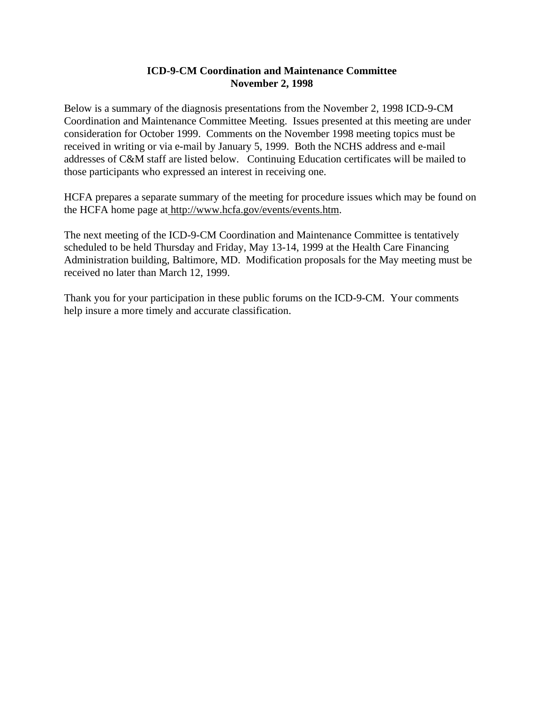# **ICD-9-CM Coordination and Maintenance Committee November 2, 1998**

Below is a summary of the diagnosis presentations from the November 2, 1998 ICD-9-CM Coordination and Maintenance Committee Meeting. Issues presented at this meeting are under consideration for October 1999. Comments on the November 1998 meeting topics must be received in writing or via e-mail by January 5, 1999. Both the NCHS address and e-mail addresses of C&M staff are listed below. Continuing Education certificates will be mailed to those participants who expressed an interest in receiving one.

HCFA prepares a separate summary of the meeting for procedure issues which may be found on the HCFA home page at http://www.hcfa.gov/events/events.htm.

The next meeting of the ICD-9-CM Coordination and Maintenance Committee is tentatively scheduled to be held Thursday and Friday, May 13-14, 1999 at the Health Care Financing Administration building, Baltimore, MD. Modification proposals for the May meeting must be received no later than March 12, 1999.

Thank you for your participation in these public forums on the ICD-9-CM. Your comments help insure a more timely and accurate classification.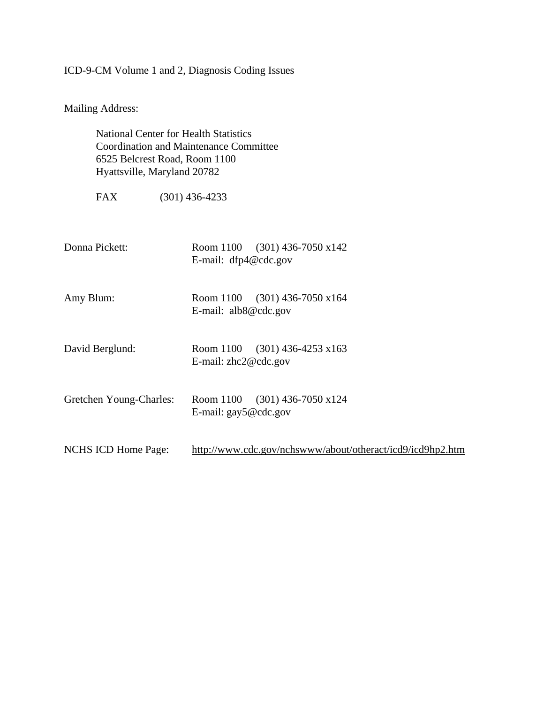# ICD-9-CM Volume 1 and 2, Diagnosis Coding Issues

Mailing Address:

National Center for Health Statistics Coordination and Maintenance Committee 6525 Belcrest Road, Room 1100 Hyattsville, Maryland 20782

FAX (301) 436-4233

| Donna Pickett:             | Room 1100 $(301)$ 436-7050 x142<br>E-mail: dfp4@cdc.gov          |
|----------------------------|------------------------------------------------------------------|
| Amy Blum:                  | Room 1100 (301) 436-7050 x164<br>E-mail: $alb8@cdc.gov$          |
| David Berglund:            | Room 1100 $(301)$ 436-4253 x163<br>E-mail: zhc2@cdc.gov          |
| Gretchen Young-Charles:    | Room 1100 (301) 436-7050 x124<br>E-mail: $\text{gay5}\&$ cdc.gov |
| <b>NCHS ICD Home Page:</b> | http://www.cdc.gov/nchswww/about/otheract/icd9/icd9hp2.htm       |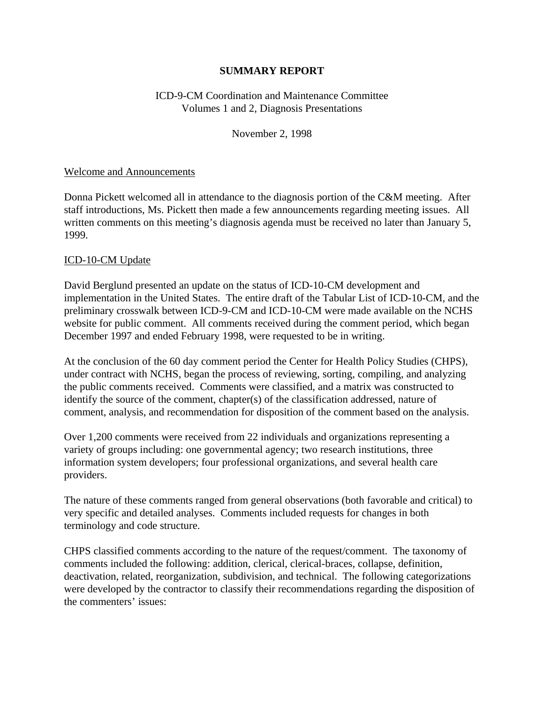# **SUMMARY REPORT**

# ICD-9-CM Coordination and Maintenance Committee Volumes 1 and 2, Diagnosis Presentations

### November 2, 1998

### Welcome and Announcements

Donna Pickett welcomed all in attendance to the diagnosis portion of the C&M meeting. After staff introductions, Ms. Pickett then made a few announcements regarding meeting issues. All written comments on this meeting's diagnosis agenda must be received no later than January 5, 1999.

### ICD-10-CM Update

David Berglund presented an update on the status of ICD-10-CM development and implementation in the United States. The entire draft of the Tabular List of ICD-10-CM, and the preliminary crosswalk between ICD-9-CM and ICD-10-CM were made available on the NCHS website for public comment. All comments received during the comment period, which began December 1997 and ended February 1998, were requested to be in writing.

At the conclusion of the 60 day comment period the Center for Health Policy Studies (CHPS), under contract with NCHS, began the process of reviewing, sorting, compiling, and analyzing the public comments received. Comments were classified, and a matrix was constructed to identify the source of the comment, chapter(s) of the classification addressed, nature of comment, analysis, and recommendation for disposition of the comment based on the analysis.

Over 1,200 comments were received from 22 individuals and organizations representing a variety of groups including: one governmental agency; two research institutions, three information system developers; four professional organizations, and several health care providers.

The nature of these comments ranged from general observations (both favorable and critical) to very specific and detailed analyses. Comments included requests for changes in both terminology and code structure.

CHPS classified comments according to the nature of the request/comment. The taxonomy of comments included the following: addition, clerical, clerical-braces, collapse, definition, deactivation, related, reorganization, subdivision, and technical. The following categorizations were developed by the contractor to classify their recommendations regarding the disposition of the commenters' issues: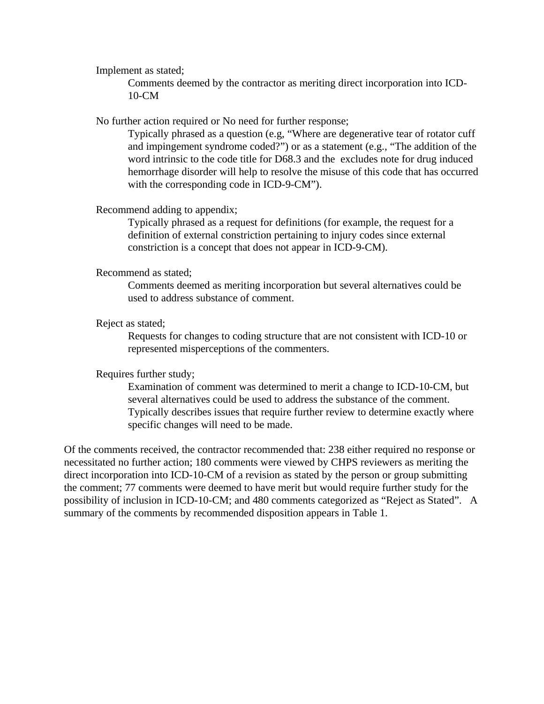Implement as stated;

Comments deemed by the contractor as meriting direct incorporation into ICD-10-CM

No further action required or No need for further response;

Typically phrased as a question (e.g, "Where are degenerative tear of rotator cuff and impingement syndrome coded?") or as a statement (e.g., "The addition of the word intrinsic to the code title for D68.3 and the excludes note for drug induced hemorrhage disorder will help to resolve the misuse of this code that has occurred with the corresponding code in ICD-9-CM").

Recommend adding to appendix;

Typically phrased as a request for definitions (for example, the request for a definition of external constriction pertaining to injury codes since external constriction is a concept that does not appear in ICD-9-CM).

#### Recommend as stated;

Comments deemed as meriting incorporation but several alternatives could be used to address substance of comment.

#### Reject as stated;

Requests for changes to coding structure that are not consistent with ICD-10 or represented misperceptions of the commenters.

#### Requires further study;

Examination of comment was determined to merit a change to ICD-10-CM, but several alternatives could be used to address the substance of the comment. Typically describes issues that require further review to determine exactly where specific changes will need to be made.

Of the comments received, the contractor recommended that: 238 either required no response or necessitated no further action; 180 comments were viewed by CHPS reviewers as meriting the direct incorporation into ICD-10-CM of a revision as stated by the person or group submitting the comment; 77 comments were deemed to have merit but would require further study for the possibility of inclusion in ICD-10-CM; and 480 comments categorized as "Reject as Stated". A summary of the comments by recommended disposition appears in Table 1.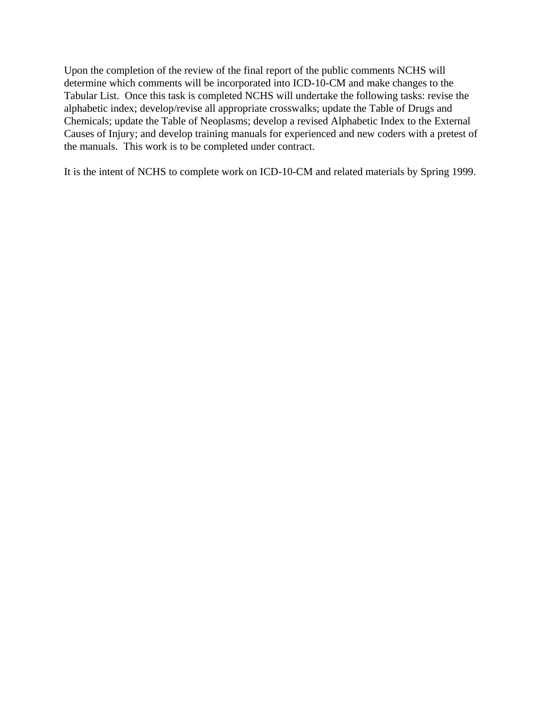Upon the completion of the review of the final report of the public comments NCHS will determine which comments will be incorporated into ICD-10-CM and make changes to the Tabular List. Once this task is completed NCHS will undertake the following tasks: revise the alphabetic index; develop/revise all appropriate crosswalks; update the Table of Drugs and Chemicals; update the Table of Neoplasms; develop a revised Alphabetic Index to the External Causes of Injury; and develop training manuals for experienced and new coders with a pretest of the manuals. This work is to be completed under contract.

It is the intent of NCHS to complete work on ICD-10-CM and related materials by Spring 1999.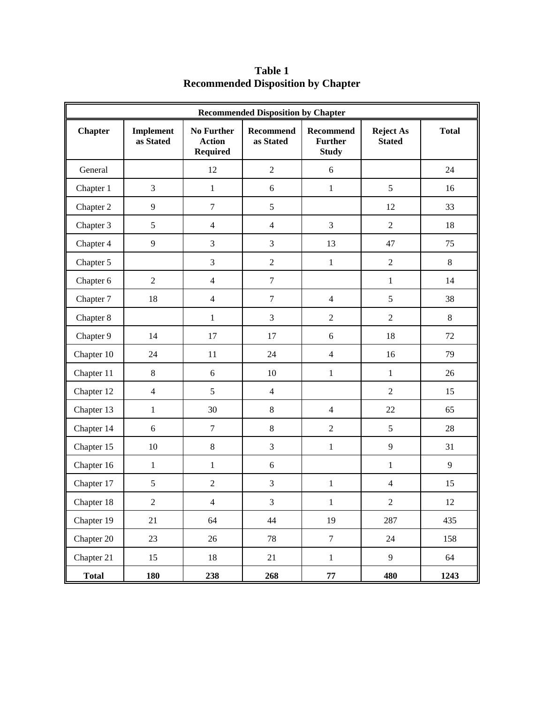| <b>Recommended Disposition by Chapter</b> |                        |                                                       |                               |                                                    |                                   |              |  |
|-------------------------------------------|------------------------|-------------------------------------------------------|-------------------------------|----------------------------------------------------|-----------------------------------|--------------|--|
| <b>Chapter</b>                            | Implement<br>as Stated | <b>No Further</b><br><b>Action</b><br><b>Required</b> | <b>Recommend</b><br>as Stated | <b>Recommend</b><br><b>Further</b><br><b>Study</b> | <b>Reject As</b><br><b>Stated</b> | <b>Total</b> |  |
| General                                   |                        | 12                                                    | $\overline{2}$                | $\sqrt{6}$                                         |                                   | 24           |  |
| Chapter 1                                 | 3                      | $\mathbf 1$                                           | $\sqrt{6}$                    | $\mathbf{1}$                                       | $\sqrt{5}$                        | 16           |  |
| Chapter 2                                 | 9                      | $\boldsymbol{7}$                                      | 5                             |                                                    | 12                                | 33           |  |
| Chapter 3                                 | 5                      | $\overline{4}$                                        | $\overline{4}$                | $\overline{3}$                                     | $\sqrt{2}$                        | 18           |  |
| Chapter 4                                 | 9                      | $\mathfrak{Z}$                                        | $\mathfrak{Z}$                | 13                                                 | 47                                | 75           |  |
| Chapter 5                                 |                        | 3                                                     | $\sqrt{2}$                    | $\mathbf{1}$                                       | $\sqrt{2}$                        | $8\,$        |  |
| Chapter 6                                 | $\sqrt{2}$             | $\overline{4}$                                        | $\tau$                        |                                                    | $\mathbf{1}$                      | 14           |  |
| Chapter 7                                 | 18                     | $\overline{4}$                                        | $\boldsymbol{7}$              | $\overline{4}$                                     | 5                                 | 38           |  |
| Chapter 8                                 |                        | $\mathbf{1}$                                          | 3                             | $\overline{2}$                                     | $\overline{2}$                    | 8            |  |
| Chapter 9                                 | 14                     | 17                                                    | 17                            | 6                                                  | 18                                | 72           |  |
| Chapter 10                                | 24                     | 11                                                    | 24                            | $\overline{4}$                                     | 16                                | 79           |  |
| Chapter 11                                | 8                      | 6                                                     | 10                            | $\mathbf{1}$                                       | $\mathbf{1}$                      | 26           |  |
| Chapter 12                                | $\overline{4}$         | 5                                                     | $\overline{4}$                |                                                    | $\sqrt{2}$                        | 15           |  |
| Chapter 13                                | $\mathbf{1}$           | 30                                                    | $8\,$                         | $\overline{4}$                                     | 22                                | 65           |  |
| Chapter 14                                | 6                      | $\boldsymbol{7}$                                      | 8                             | $\overline{2}$                                     | 5                                 | 28           |  |
| Chapter 15                                | 10                     | $\,8\,$                                               | 3                             | $\mathbf{1}$                                       | 9                                 | 31           |  |
| Chapter 16                                | $\,1\,$                | $\mathbf{1}$                                          | $6\,$                         |                                                    | $\mathbf{1}$                      | 9            |  |
| Chapter 17                                | 5                      | $\sqrt{2}$                                            | 3                             | $\,1$                                              | $\overline{4}$                    | 15           |  |
| Chapter 18                                | $\overline{c}$         | $\overline{4}$                                        | $\mathfrak{Z}$                | $\mathbf{1}$                                       | $\sqrt{2}$                        | $12\,$       |  |
| Chapter 19                                | 21                     | 64                                                    | 44                            | 19                                                 | 287                               | 435          |  |
| Chapter 20                                | 23                     | 26                                                    | $78\,$                        | $\overline{7}$                                     | 24                                | 158          |  |
| Chapter 21                                | 15                     | 18                                                    | 21                            | $1\,$                                              | $\overline{9}$                    | 64           |  |
| <b>Total</b>                              | 180                    | 238                                                   | 268                           | ${\bf 77}$                                         | 480                               | 1243         |  |

**Table 1 Recommended Disposition by Chapter**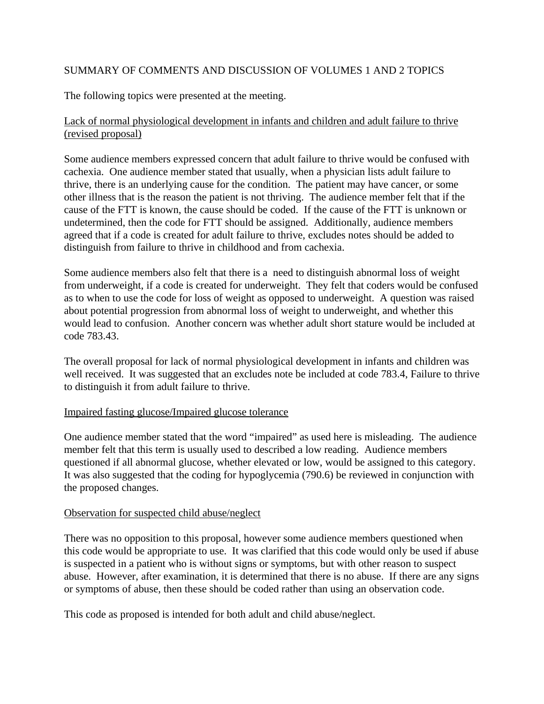# SUMMARY OF COMMENTS AND DISCUSSION OF VOLUMES 1 AND 2 TOPICS

The following topics were presented at the meeting.

# Lack of normal physiological development in infants and children and adult failure to thrive (revised proposal)

Some audience members expressed concern that adult failure to thrive would be confused with cachexia. One audience member stated that usually, when a physician lists adult failure to thrive, there is an underlying cause for the condition. The patient may have cancer, or some other illness that is the reason the patient is not thriving. The audience member felt that if the cause of the FTT is known, the cause should be coded. If the cause of the FTT is unknown or undetermined, then the code for FTT should be assigned. Additionally, audience members agreed that if a code is created for adult failure to thrive, excludes notes should be added to distinguish from failure to thrive in childhood and from cachexia.

Some audience members also felt that there is a need to distinguish abnormal loss of weight from underweight, if a code is created for underweight. They felt that coders would be confused as to when to use the code for loss of weight as opposed to underweight. A question was raised about potential progression from abnormal loss of weight to underweight, and whether this would lead to confusion. Another concern was whether adult short stature would be included at code 783.43.

The overall proposal for lack of normal physiological development in infants and children was well received. It was suggested that an excludes note be included at code 783.4, Failure to thrive to distinguish it from adult failure to thrive.

### Impaired fasting glucose/Impaired glucose tolerance

One audience member stated that the word "impaired" as used here is misleading. The audience member felt that this term is usually used to described a low reading. Audience members questioned if all abnormal glucose, whether elevated or low, would be assigned to this category. It was also suggested that the coding for hypoglycemia (790.6) be reviewed in conjunction with the proposed changes.

### Observation for suspected child abuse/neglect

There was no opposition to this proposal, however some audience members questioned when this code would be appropriate to use. It was clarified that this code would only be used if abuse is suspected in a patient who is without signs or symptoms, but with other reason to suspect abuse. However, after examination, it is determined that there is no abuse. If there are any signs or symptoms of abuse, then these should be coded rather than using an observation code.

This code as proposed is intended for both adult and child abuse/neglect.